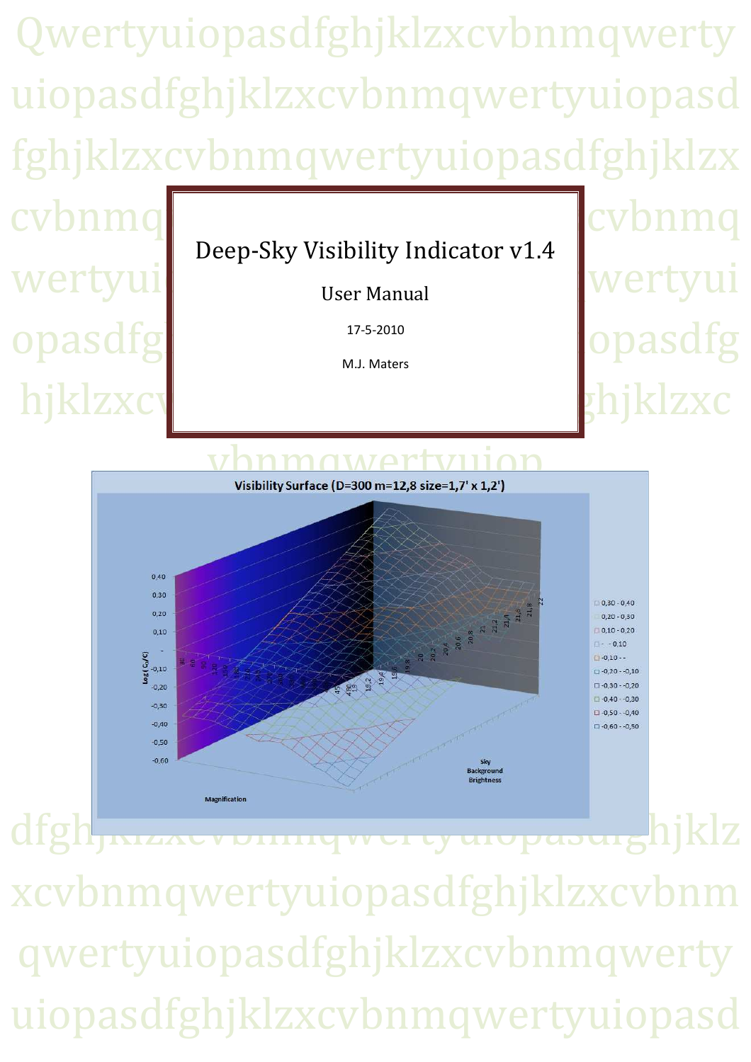Qwertyuiopasdfghjklzxcvbnmqwerty uiopasdfghjklzxcvbnmqwertyuiopasd fghjklzxcvbnmqwertyuiopasdfghjklzx cybnn Deep-Sky Visibility Indicator v1.4 wertyui vertyuiser Manual User Manual opasd 17-5-2010 M.J. Maters hjklzxcv**ou briklzxcv** Visibility Surface (D=300 m=12,8 size=1,7' x 1,2')  $0.40$  $0.3C$  $\begin{picture}(130,10) \put(0,0){\line(1,0){15}} \put(15,0){\line(1,0){15}} \put(15,0){\line(1,0){15}} \put(15,0){\line(1,0){15}} \put(15,0){\line(1,0){15}} \put(15,0){\line(1,0){15}} \put(15,0){\line(1,0){15}} \put(15,0){\line(1,0){15}} \put(15,0){\line(1,0){15}} \put(15,0){\line(1,0){15}} \put(15,0){\line(1,0){15}} \put(15,0){\line($  $0,30 - 0,40$  $0.20$  $0.20 - 0.30$  $0,10 - 0,20$  $0.10$  $-0,10$  $\frac{\log (G_0 / C)}{2}$  $-0.10 -$ 429<br>192<br>194<br>194  $-0.20 - 0.10$  $-0,20$  $-0.30$  $-0.30$  $\Box -0.50 - 0.40$  $-0.40$  $-0.50$ asterou sky sky sky sky startegrou  $-0.60$ 

dfgh Kacvbungwertyuiopasuighjklz xcvbnmqwertyuiopasdfghjklzxcvbnm qwertyuiopasdfghjklzxcvbnmqwerty uiopasdfghjklzxcvbnmqwertyuiopasd

Magnification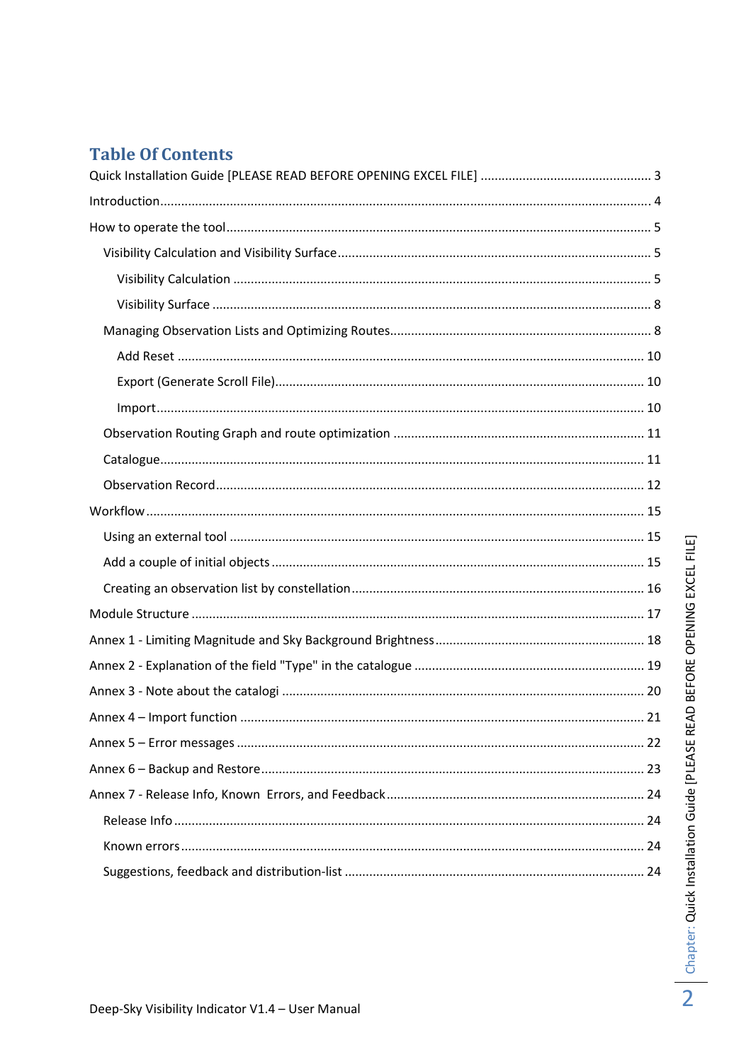# **Table Of Contents**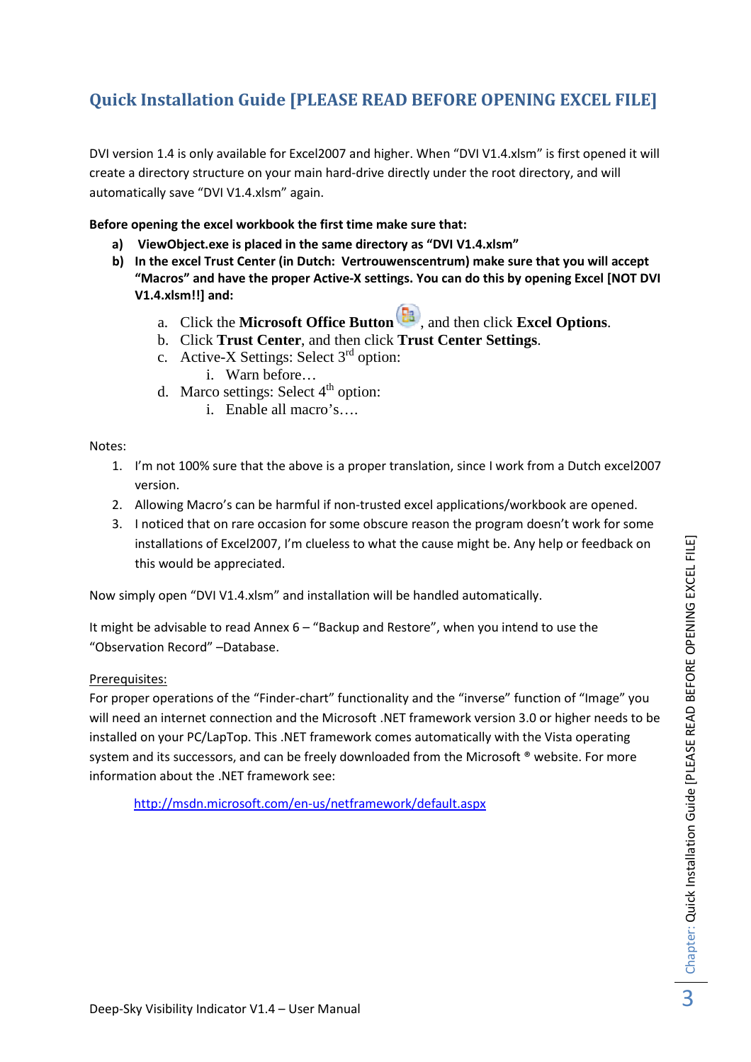# **Quick Installation Guide [PLEASE READ BEFORE OPENING EXCEL FILE]**

DVI version 1.4 is only available for Excel2007 and higher. When "DVI V1.4.xlsm" is first opened it will create a directory structure on your main hard-drive directly under the root directory, and will automatically save "DVI V1.4.xlsm" again.

**Before opening the excel workbook the first time make sure that:** 

- **a) ViewObject.exe is placed in the same directory as "DVI V1.4.xlsm"**
- **b) In the excel Trust Center (in Dutch: Vertrouwenscentrum) make sure that you will accept "Macros" and have the proper Active-X settings. You can do this by opening Excel [NOT DVI V1.4.xlsm!!] and:** 
	- a. Click the **Microsoft Office Button**  $\left[\frac{\mathbf{E}}{\mathbf{B}}\right)$ , and then click **Excel Options**.
	- b. Click **Trust Center**, and then click **Trust Center Settings**.
	- c. Active-X Settings: Select  $3<sup>rd</sup>$  option: i. Warn before…
	- d. Marco settings: Select  $4<sup>th</sup>$  option:
		- i. Enable all macro's….

Notes:

- 1. I'm not 100% sure that the above is a proper translation, since I work from a Dutch excel2007 version.
- 2. Allowing Macro's can be harmful if non-trusted excel applications/workbook are opened.
- 3. I noticed that on rare occasion for some obscure reason the program doesn't work for some installations of Excel2007, I'm clueless to what the cause might be. Any help or feedback on this would be appreciated.

Now simply open "DVI V1.4.xlsm" and installation will be handled automatically.

It might be advisable to read Annex 6 – "Backup and Restore", when you intend to use the "Observation Record" –Database.

Prerequisites:

For proper operations of the "Finder-chart" functionality and the "inverse" function of "Image" you will need an internet connection and the Microsoft .NET framework version 3.0 or higher needs to be installed on your PC/LapTop. This .NET framework comes automatically with the Vista operating system and its successors, and can be freely downloaded from the Microsoft ® website. For more information about the .NET framework see:

http://msdn.microsoft.com/en-us/netframework/default.aspx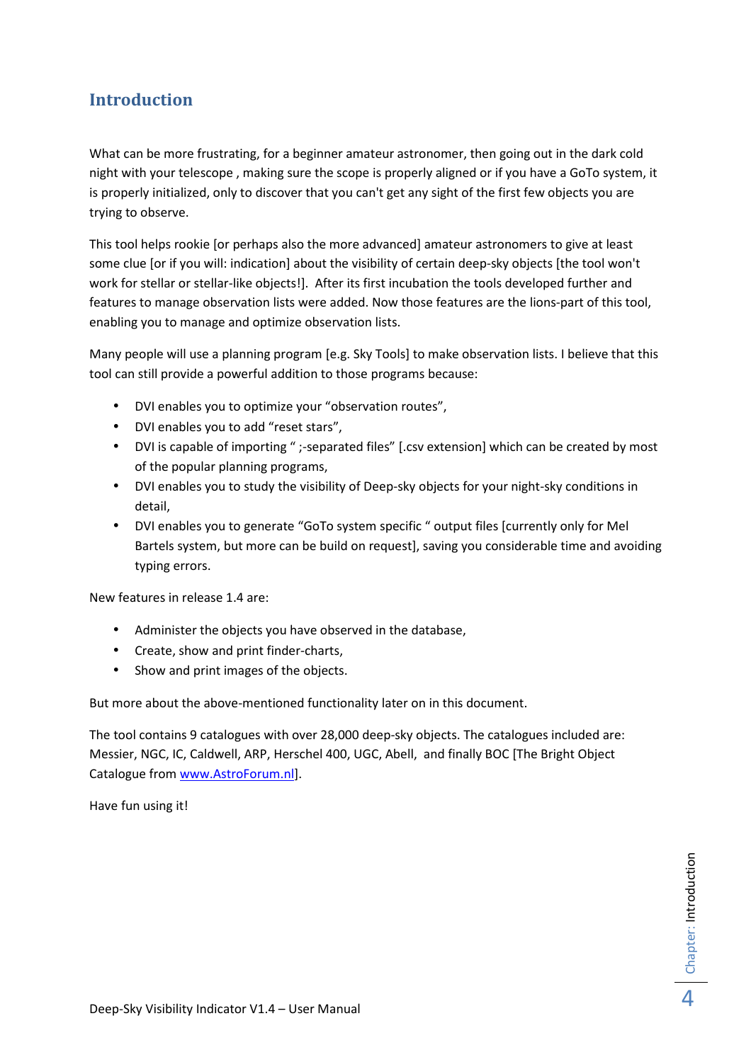## **Introduction**

What can be more frustrating, for a beginner amateur astronomer, then going out in the dark cold night with your telescope , making sure the scope is properly aligned or if you have a GoTo system, it is properly initialized, only to discover that you can't get any sight of the first few objects you are trying to observe.

This tool helps rookie [or perhaps also the more advanced] amateur astronomers to give at least some clue [or if you will: indication] about the visibility of certain deep-sky objects [the tool won't work for stellar or stellar-like objects!]. After its first incubation the tools developed further and features to manage observation lists were added. Now those features are the lions-part of this tool, enabling you to manage and optimize observation lists.

Many people will use a planning program [e.g. Sky Tools] to make observation lists. I believe that this tool can still provide a powerful addition to those programs because:

- DVI enables you to optimize your "observation routes",
- DVI enables you to add "reset stars",
- DVI is capable of importing " ;-separated files" [.csv extension] which can be created by most of the popular planning programs,
- DVI enables you to study the visibility of Deep-sky objects for your night-sky conditions in detail,
- DVI enables you to generate "GoTo system specific " output files [currently only for Mel Bartels system, but more can be build on request], saving you considerable time and avoiding typing errors.

New features in release 1.4 are:

- Administer the objects you have observed in the database,
- Create, show and print finder-charts,
- Show and print images of the objects.

But more about the above-mentioned functionality later on in this document.

The tool contains 9 catalogues with over 28,000 deep-sky objects. The catalogues included are: Messier, NGC, IC, Caldwell, ARP, Herschel 400, UGC, Abell, and finally BOC [The Bright Object Catalogue from www.AstroForum.nl].

Have fun using it!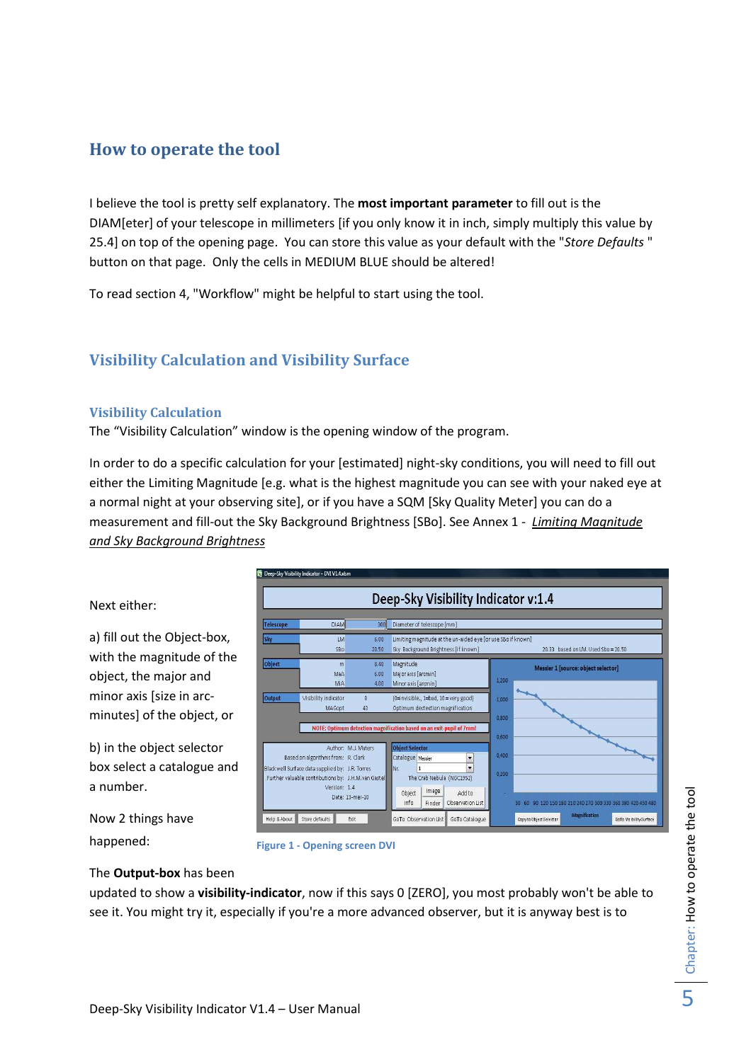## **How to operate the tool**

I believe the tool is pretty self explanatory. The **most important parameter** to fill out is the DIAM[eter] of your telescope in millimeters [if you only know it in inch, simply multiply this value by 25.4] on top of the opening page. You can store this value as your default with the "*Store Defaults* " button on that page. Only the cells in MEDIUM BLUE should be altered!

To read section 4, "Workflow" might be helpful to start using the tool.

## **Visibility Calculation and Visibility Surface**

### **Visibility Calculation**

The "Visibility Calculation" window is the opening window of the program.

In order to do a specific calculation for your [estimated] night-sky conditions, you will need to fill out either the Limiting Magnitude [e.g. what is the highest magnitude you can see with your naked eye at a normal night at your observing site], or if you have a SQM [Sky Quality Meter] you can do a measurement and fill-out the Sky Background Brightness [SBo]. See Annex 1 - *Limiting Magnitude and Sky Background Brightness*



Now 2 things have happened:

a number.

Next either:



#### The **Output-box** has been

updated to show a **visibility-indicator**, now if this says 0 [ZERO], you most probably won't be able to see it. You might try it, especially if you're a more advanced observer, but it is anyway best is to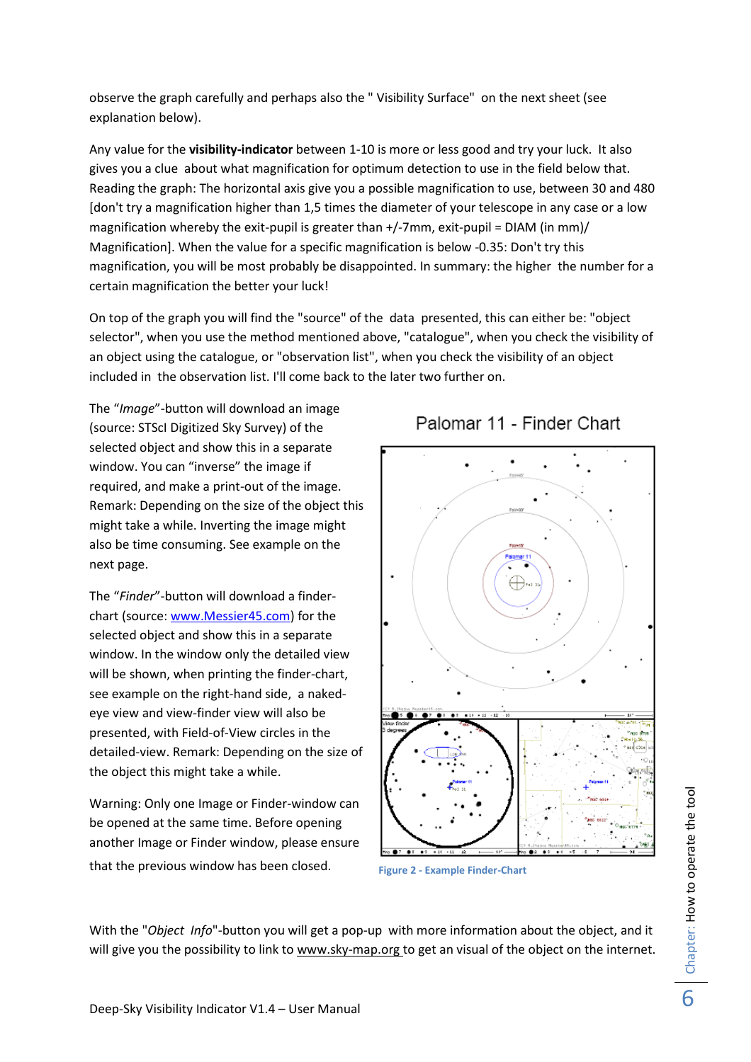observe the graph carefully and perhaps also the " Visibility Surface" on the next sheet (see explanation below).

Any value for the **visibility-indicator** between 1-10 is more or less good and try your luck. It also gives you a clue about what magnification for optimum detection to use in the field below that. Reading the graph: The horizontal axis give you a possible magnification to use, between 30 and 480 [don't try a magnification higher than 1,5 times the diameter of your telescope in any case or a low magnification whereby the exit-pupil is greater than +/-7mm, exit-pupil = DIAM (in mm)/ Magnification]. When the value for a specific magnification is below -0.35: Don't try this magnification, you will be most probably be disappointed. In summary: the higher the number for a certain magnification the better your luck!

On top of the graph you will find the "source" of the data presented, this can either be: "object selector", when you use the method mentioned above, "catalogue", when you check the visibility of an object using the catalogue, or "observation list", when you check the visibility of an object included in the observation list. I'll come back to the later two further on.

The "*Image*"-button will download an image (source: STScI Digitized Sky Survey) of the selected object and show this in a separate window. You can "inverse" the image if required, and make a print-out of the image. Remark: Depending on the size of the object this might take a while. Inverting the image might also be time consuming. See example on the next page.

The "*Finder*"-button will download a finderchart (source: www.Messier45.com) for the selected object and show this in a separate window. In the window only the detailed view will be shown, when printing the finder-chart, see example on the right-hand side, a nakedeye view and view-finder view will also be presented, with Field-of-View circles in the detailed-view. Remark: Depending on the size of the object this might take a while.

Warning: Only one Image or Finder-window can be opened at the same time. Before opening another Image or Finder window, please ensure that the previous window has been closed.

# Palomar 11 - Finder Chart



**Figure 2 - Example Finder-Chart**

With the "*Object Info*"-button you will get a pop-up with more information about the object, and it will give you the possibility to link to www.sky-map.org to get an visual of the object on the internet.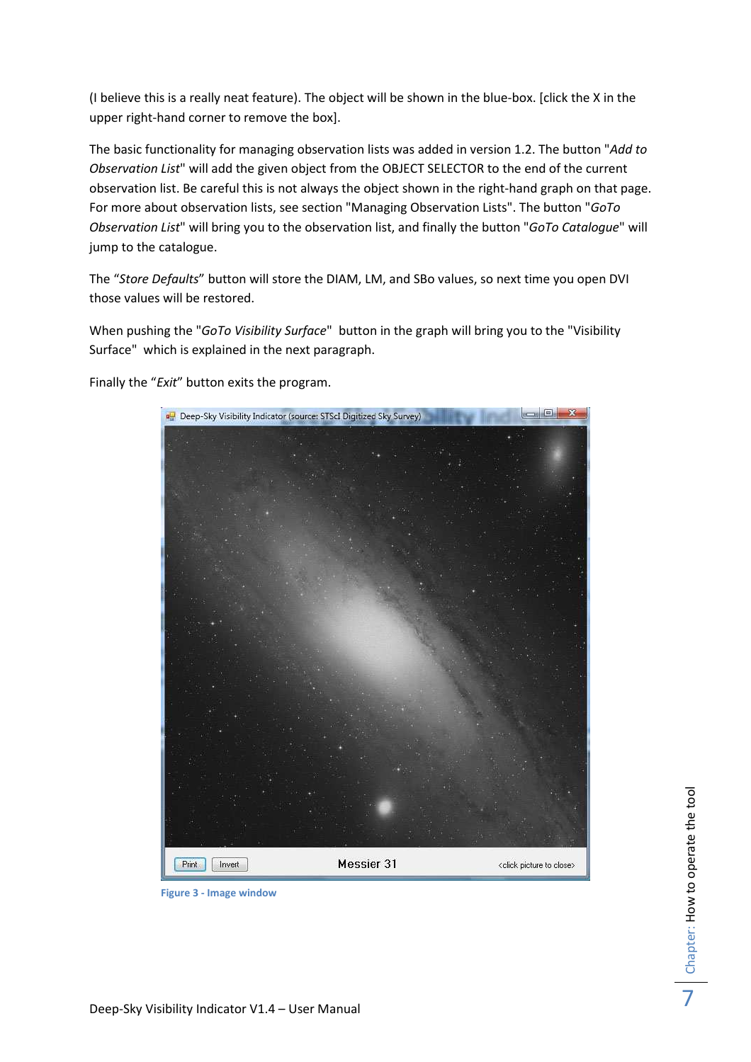(I believe this is a really neat feature). The object will be shown in the blue-box. [click the X in the upper right-hand corner to remove the box].

The basic functionality for managing observation lists was added in version 1.2. The button "*Add to Observation List*" will add the given object from the OBJECT SELECTOR to the end of the current observation list. Be careful this is not always the object shown in the right-hand graph on that page. For more about observation lists, see section "Managing Observation Lists". The button "*GoTo Observation List*" will bring you to the observation list, and finally the button "*GoTo Catalogue*" will jump to the catalogue.

The "*Store Defaults*" button will store the DIAM, LM, and SBo values, so next time you open DVI those values will be restored.

When pushing the "*GoTo Visibility Surface*" button in the graph will bring you to the "Visibility Surface" which is explained in the next paragraph.

Finally the "*Exit*" button exits the program.



**Figure 3 - Image window**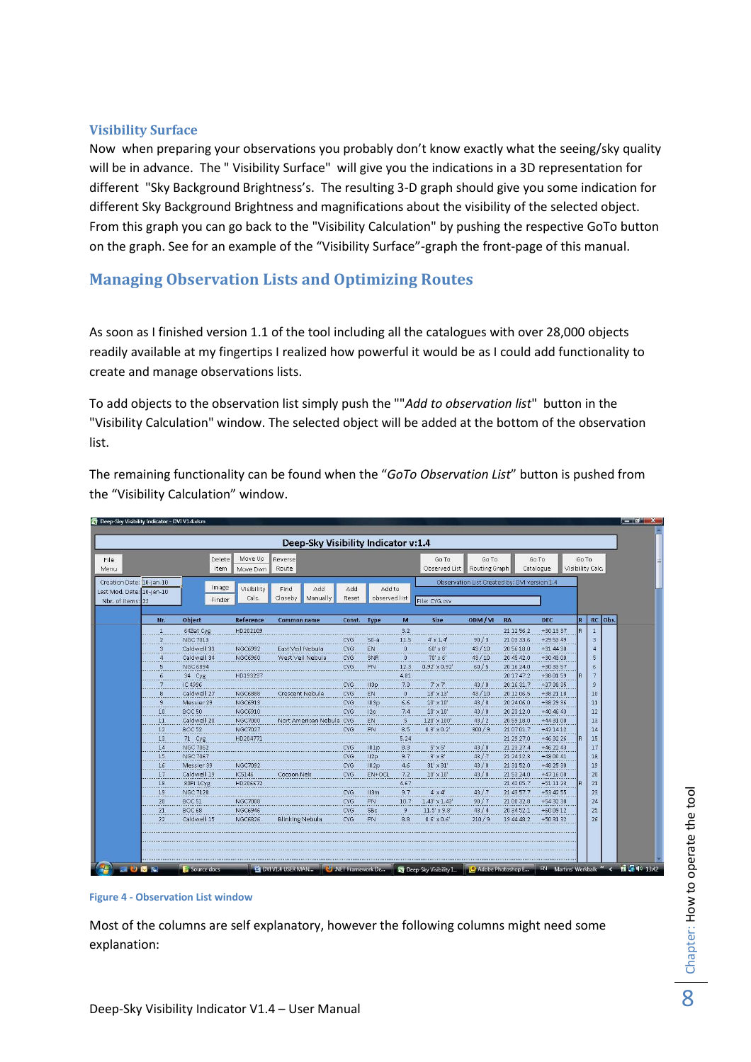#### **Visibility Surface**

Now when preparing your observations you probably don't know exactly what the seeing/sky quality will be in advance. The " Visibility Surface" will give you the indications in a 3D representation for different "Sky Background Brightness's. The resulting 3-D graph should give you some indication for different Sky Background Brightness and magnifications about the visibility of the selected object. From this graph you can go back to the "Visibility Calculation" by pushing the respective GoTo button on the graph. See for an example of the "Visibility Surface"-graph the front-page of this manual.

## **Managing Observation Lists and Optimizing Routes**

As soon as I finished version 1.1 of the tool including all the catalogues with over 28,000 objects readily available at my fingertips I realized how powerful it would be as I could add functionality to create and manage observations lists.

To add objects to the observation list simply push the ""*Add to observation list*" button in the "Visibility Calculation" window. The selected object will be added at the bottom of the observation list.

The remaining functionality can be found when the "*GoTo Observation List*" button is pushed from the "Visibility Calculation" window.

| File                      |                | Delete          | Move Up        | Deep-Sky Visibility Indicator v:1.4<br>Reverse |                 |                  |                | Go To                | Go To         |                                              | Go To       | Go To |                  |
|---------------------------|----------------|-----------------|----------------|------------------------------------------------|-----------------|------------------|----------------|----------------------|---------------|----------------------------------------------|-------------|-------|------------------|
| Menu                      |                | Item            | Move Dwn       | Route                                          |                 |                  |                | Observed List        | Routing Graph |                                              | Catalogue   |       | Visibility Calc. |
| Creation Date: 10-jan-10  |                |                 |                |                                                |                 |                  |                |                      |               | Observation List Created by: DVI version 1.4 |             |       |                  |
| Last Mod. Date: 10-jan-10 |                | Image           | Visibility     | Find.<br>Add                                   | Add             | Add to           |                |                      |               |                                              |             |       |                  |
| Nbr. of items: 22         |                | Finder          | Calc.          | Closeby<br>Manually                            | Reset           | observed list    |                | File: CYG.csv        |               |                                              |             |       |                  |
|                           |                |                 |                |                                                |                 |                  |                |                      |               |                                              |             |       |                  |
|                           | Nr.            | <b>Object</b>   | Reference      | <b>Common name</b>                             | Const. Type     |                  | M              | <b>Size</b>          | ODM/VI        | RA                                           | <b>DEC</b>  | l R   | RC<br>lobs.      |
|                           | .              | 64Zet Cyg       | HD202109       |                                                |                 |                  | 3.2            |                      |               | 21 12 56.2                                   | +30 13 37   |       | $\mathbf{1}$     |
|                           | 1.1.1.1        | <b>NGC 7013</b> |                |                                                | CYG             | $S0-a$           | 11.5           | $4' \times 1.4$      | 90/3          | 21 03 33.6                                   | $+295349$   |       | 3                |
|                           | з              | Caldwell 33     | NGC6992        | East Veil Nebula                               | <b>CYG</b>      | <b>EN</b>        | $\mathbf{0}$   | $60' \times 8'$      | 43/10         | 20 56 18.0                                   | +31 44 30   |       | $\Delta$         |
|                           | $\Delta$       | Caldwell 34     | NGC6960        | West Veil Nebula                               | CYG             | SNR              | $\mathbf{0}$   | $70' \times 6'$      | 43/10         | 20 45 42.0                                   | +30 43 00   |       | 5                |
|                           | 5              | NGC 6894        |                |                                                | <b>CYG</b>      | PN               | 12.3           | $0.92' \times 0.92'$ | 60/5          | 20 16 24.0                                   | +30 33 57   |       | $\mathbf{f}$     |
|                           | 6              | 34 Cyg          | HD193237       |                                                |                 |                  | 4.81           |                      | .             | 201747.2                                     | +38 01 59   |       | 7                |
|                           |                | IC 4996         |                |                                                | CYG             | 113p             | 7.3            | $7' \times 7'$       | 43/8          | 201631.7                                     | +37 38 35   |       | 9                |
|                           | 8<br>          | Caldwell 27     | <b>NGC6888</b> | Crescent Nebula                                | <b>CYG</b>      | EN               | $\mathbf{0}$   | $18' \times 13'$     | 43/10         | 20 12 06.5                                   | +38 21 18   |       | 10               |
|                           | 9<br>.         | Messier 29      | <b>NGC6913</b> |                                                | CYG             | III3p            | 6.6            | $10' \times 10'$     | 43/8          | 20 24 06.0                                   | +38 29 36   |       | 11               |
|                           | $\frac{10}{2}$ | <b>BOC50</b>    | NGC6910        |                                                | CYG             | 12p              | 7.4            | $10' \times 10'$     | 43/8          | 20 23 12.0                                   | $+404643$   |       | 12               |
|                           | 11             | Caldwell 20     | <b>NGC7000</b> | Nort American Nebula CYG                       |                 | EN               | 5              | 120' x 100'          | 43/2          | 205918.0                                     | $+443100$   |       | 13               |
|                           | 12             | <b>BOC52</b>    | <b>NGC7027</b> |                                                | <b>CYG</b>      | PN               | 8.5            | $0.3' \times 0.2'$   | 300/9         | 21 07 01.7                                   | $+421412$   |       | 14               |
|                           | 13             | 71 Cyg          | HD204771       |                                                |                 |                  | 5.24           |                      |               | 21 29 27.0                                   | $+46.32.26$ |       | 15               |
|                           | 14             | <b>NGC 7062</b> |                |                                                | CYG             | III <sub>p</sub> | 8.3            | $5' \times 5'$       | 43/8          | 21 23 27.4                                   | $+462243$   |       | 17               |
|                           | 15             | <b>NGC 7067</b> |                |                                                | CYG.            | 112p             | 9.7            | $3' \times 3'$       | 43/7          | 21 24 12.3                                   | $+480041$   |       | 18               |
|                           | 16<br>.        | Messier 39      | NGC7092        |                                                | <b>CYG</b>      | . 1112р          | 4.6<br>.       | $31' \times 31'$     | 43/8          | 21 31 52.0                                   | $+482530$   |       | 19               |
|                           | $\frac{17}{2}$ | Caldwell 19     | IC5146         | Cocoon Neb                                     | <b>CYG</b>      | EN+OCL           | 7.2            | $10' \times 10'$     | 43/8          | 21 53 24.0                                   | $+471600$   |       | 20               |
|                           | $\frac{18}{2}$ | 80Pi 1Cyg       | HD206672       |                                                |                 |                  | 4.67           |                      |               | 21 42 05.7                                   | $+51$ 11 23 |       | 21               |
|                           | 19             | <b>NGC 7128</b> |                |                                                | CYG             | 113m             | 9.7            | $4' \times 4'$       | 43/7          | 21 43 57.7                                   | +53 42 55   |       | 23               |
|                           | $\frac{20}{2}$ | <b>BOC 51</b>   | <b>NGC7008</b> |                                                | <b>CYG</b><br>. | PM               | 10.7<br>.      | $1.43' \times 1.43'$ | 90/7          | 21 00 32.8                                   | $+543238$   |       | 24               |
|                           | 21             | <b>BOC68</b>    | <b>NGC6946</b> |                                                | CYG             | SBc              | $\overline{9}$ | $11.5' \times 9.8'$  | 43/4          | 20 34 52.1                                   | $+600912$   |       | 25               |
|                           | $\frac{22}{2}$ | Caldwell 15     | <b>NGC6826</b> | <b>Blinking Nebula</b>                         | CYG             | PN               | 8.8            | $0.6' \times 0.6'$   | 210/9         | 19 44 48.2                                   | $+503132$   |       | 26               |

**Figure 4 - Observation List window** 

Most of the columns are self explanatory, however the following columns might need some explanation: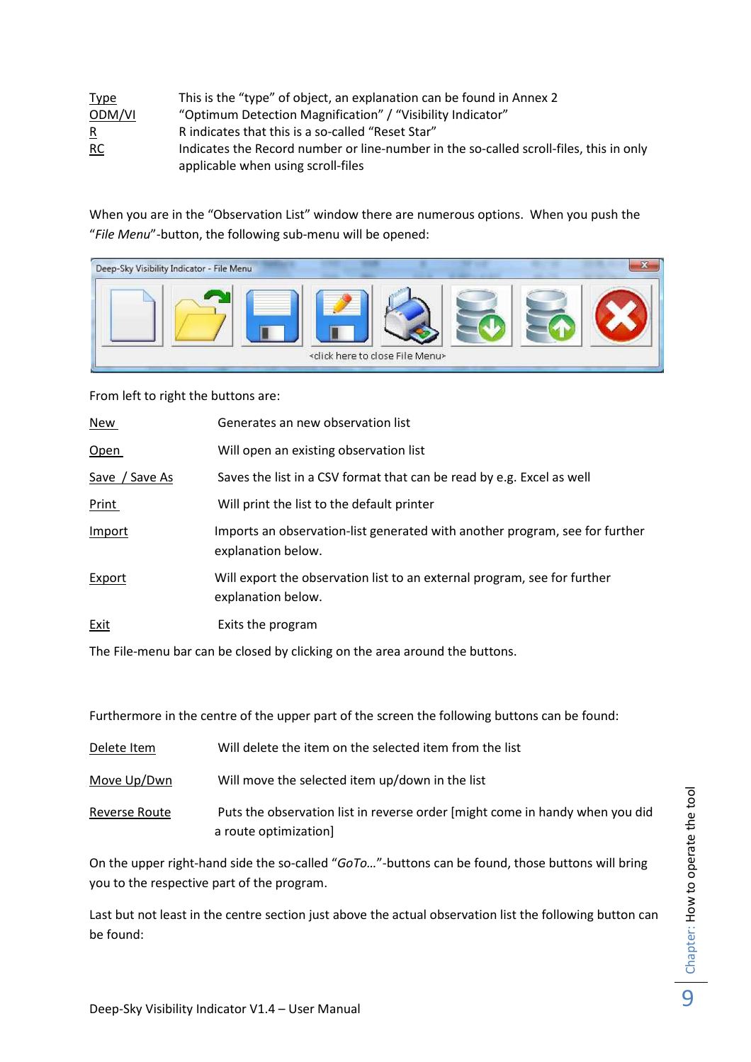| <b>Type</b>    | This is the "type" of object, an explanation can be found in Annex 2                   |
|----------------|----------------------------------------------------------------------------------------|
| ODM/VI         | "Optimum Detection Magnification" / "Visibility Indicator"                             |
| $\overline{R}$ | R indicates that this is a so-called "Reset Star"                                      |
| RC             | Indicates the Record number or line-number in the so-called scroll-files, this in only |
|                | applicable when using scroll-files                                                     |

When you are in the "Observation List" window there are numerous options. When you push the "*File Menu*"-button, the following sub-menu will be opened:

| Deep-Sky Visibility Indicator - File Menu |                                                        |  |
|-------------------------------------------|--------------------------------------------------------|--|
|                                           | <click close="" file="" here="" menu="" to=""></click> |  |

From left to right the buttons are:

| New            | Generates an new observation list                                                                 |
|----------------|---------------------------------------------------------------------------------------------------|
| Open           | Will open an existing observation list                                                            |
| Save / Save As | Saves the list in a CSV format that can be read by e.g. Excel as well                             |
| Print          | Will print the list to the default printer                                                        |
| Import         | Imports an observation-list generated with another program, see for further<br>explanation below. |
| Export         | Will export the observation list to an external program, see for further<br>explanation below.    |
| Exit           | Exits the program                                                                                 |

The File-menu bar can be closed by clicking on the area around the buttons.

Furthermore in the centre of the upper part of the screen the following buttons can be found:

| Delete Item   | Will delete the item on the selected item from the list                                               |
|---------------|-------------------------------------------------------------------------------------------------------|
| Move Up/Dwn   | Will move the selected item up/down in the list                                                       |
| Reverse Route | Puts the observation list in reverse order [might come in handy when you did<br>a route optimization] |

On the upper right-hand side the so-called "*GoTo…*"-buttons can be found, those buttons will bring you to the respective part of the program.

Last but not least in the centre section just above the actual observation list the following button can be found: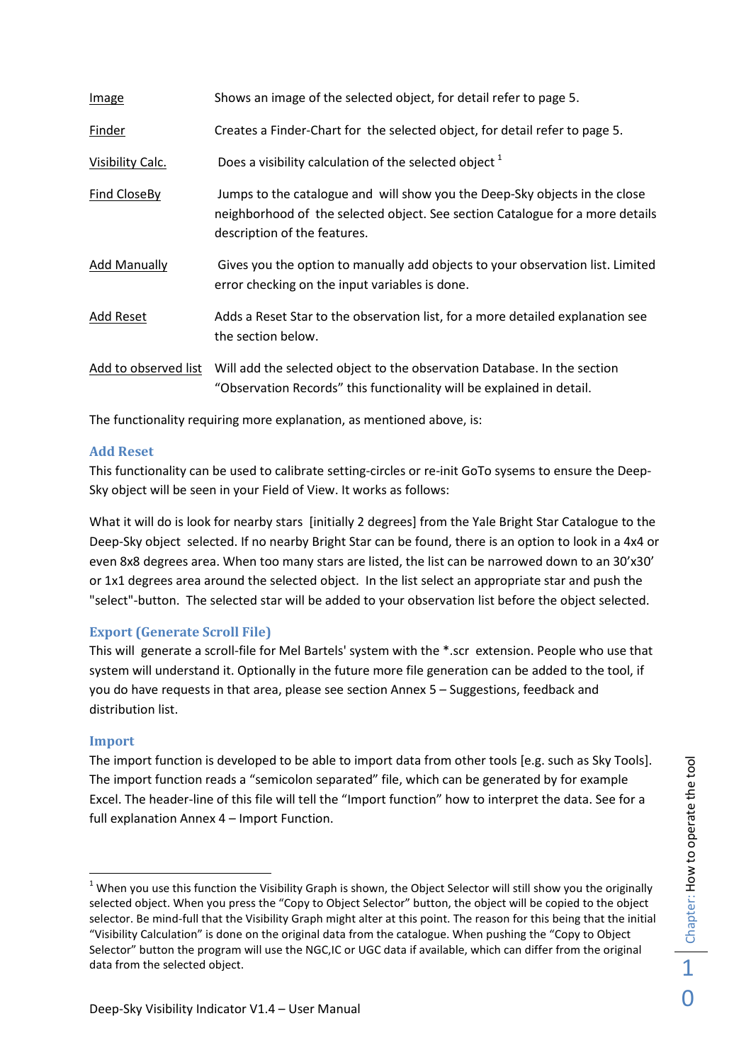| <b>Image</b>         | Shows an image of the selected object, for detail refer to page 5.                                                                                                                          |
|----------------------|---------------------------------------------------------------------------------------------------------------------------------------------------------------------------------------------|
| <b>Finder</b>        | Creates a Finder-Chart for the selected object, for detail refer to page 5.                                                                                                                 |
| Visibility Calc.     | Does a visibility calculation of the selected object <sup>1</sup>                                                                                                                           |
| Find CloseBy         | Jumps to the catalogue and will show you the Deep-Sky objects in the close<br>neighborhood of the selected object. See section Catalogue for a more details<br>description of the features. |
| <b>Add Manually</b>  | Gives you the option to manually add objects to your observation list. Limited<br>error checking on the input variables is done.                                                            |
| Add Reset            | Adds a Reset Star to the observation list, for a more detailed explanation see<br>the section below.                                                                                        |
| Add to observed list | Will add the selected object to the observation Database. In the section<br>"Observation Records" this functionality will be explained in detail.                                           |

The functionality requiring more explanation, as mentioned above, is:

#### **Add Reset**

This functionality can be used to calibrate setting-circles or re-init GoTo sysems to ensure the Deep-Sky object will be seen in your Field of View. It works as follows:

What it will do is look for nearby stars [initially 2 degrees] from the Yale Bright Star Catalogue to the Deep-Sky object selected. If no nearby Bright Star can be found, there is an option to look in a 4x4 or even 8x8 degrees area. When too many stars are listed, the list can be narrowed down to an 30'x30' or 1x1 degrees area around the selected object. In the list select an appropriate star and push the "select"-button. The selected star will be added to your observation list before the object selected.

#### **Export (Generate Scroll File)**

This will generate a scroll-file for Mel Bartels' system with the \*.scr extension. People who use that system will understand it. Optionally in the future more file generation can be added to the tool, if you do have requests in that area, please see section Annex 5 – Suggestions, feedback and distribution list.

#### **Import**

The import function is developed to be able to import data from other tools [e.g. such as Sky Tools]. The import function reads a "semicolon separated" file, which can be generated by for example Excel. The header-line of this file will tell the "Import function" how to interpret the data. See for a full explanation Annex 4 – Import Function.

 $1$  When you use this function the Visibility Graph is shown, the Object Selector will still show you the originally selected object. When you press the "Copy to Object Selector" button, the object will be copied to the object selector. Be mind-full that the Visibility Graph might alter at this point. The reason for this being that the initial "Visibility Calculation" is done on the original data from the catalogue. When pushing the "Copy to Object Selector" button the program will use the NGC,IC or UGC data if available, which can differ from the original data from the selected object.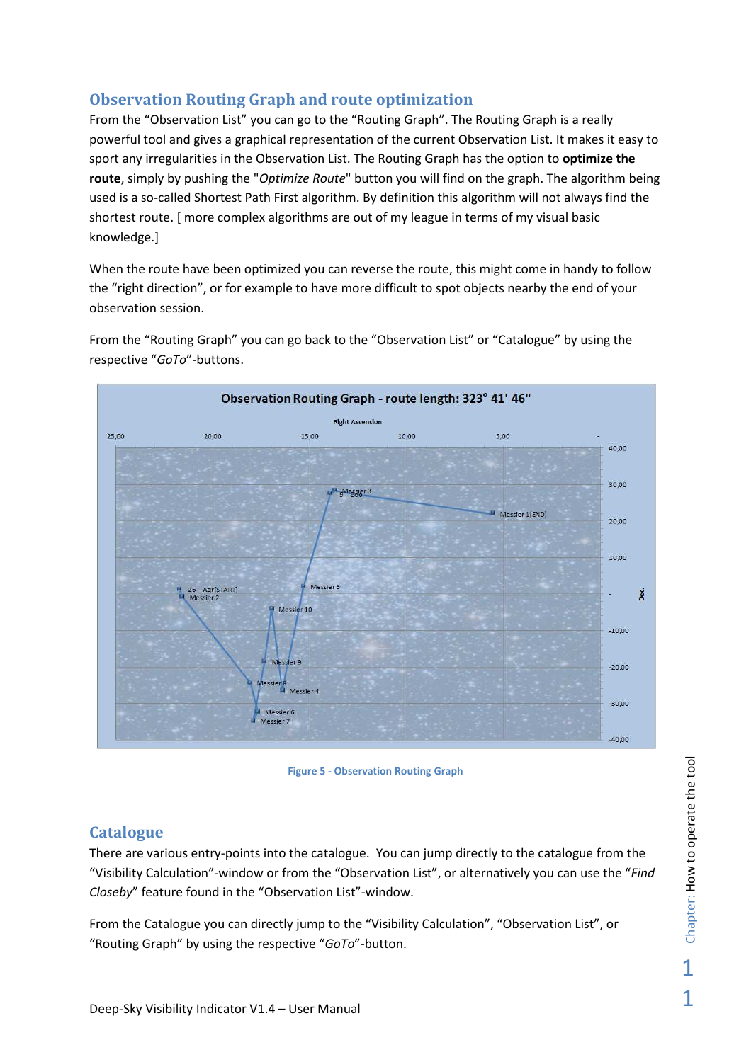## **Observation Routing Graph and route optimization**

From the "Observation List" you can go to the "Routing Graph". The Routing Graph is a really powerful tool and gives a graphical representation of the current Observation List. It makes it easy to sport any irregularities in the Observation List. The Routing Graph has the option to **optimize the route**, simply by pushing the "*Optimize Route*" button you will find on the graph. The algorithm being used is a so-called Shortest Path First algorithm. By definition this algorithm will not always find the shortest route. [ more complex algorithms are out of my league in terms of my visual basic knowledge.]

When the route have been optimized you can reverse the route, this might come in handy to follow the "right direction", or for example to have more difficult to spot objects nearby the end of your observation session.



From the "Routing Graph" you can go back to the "Observation List" or "Catalogue" by using the respective "*GoTo*"-buttons.

**Figure 5 - Observation Routing Graph** 

### **Catalogue**

There are various entry-points into the catalogue. You can jump directly to the catalogue from the "Visibility Calculation"-window or from the "Observation List", or alternatively you can use the "*Find Closeby*" feature found in the "Observation List"-window.

From the Catalogue you can directly jump to the "Visibility Calculation", "Observation List", or "Routing Graph" by using the respective "*GoTo*"-button.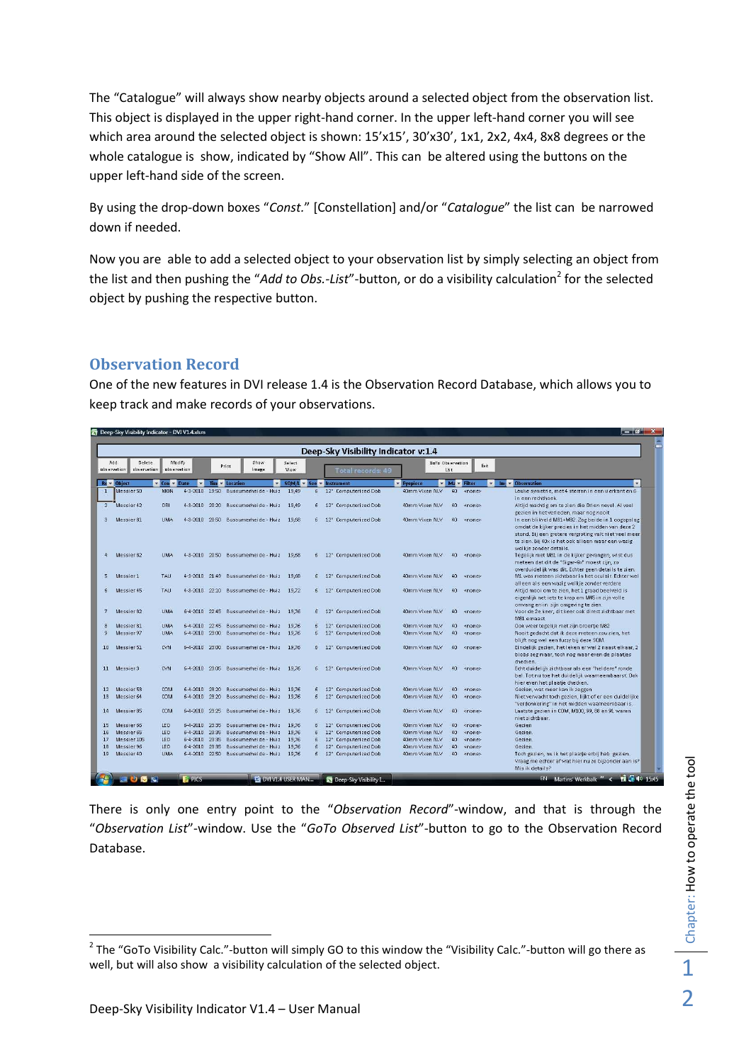The "Catalogue" will always show nearby objects around a selected object from the observation list. This object is displayed in the upper right-hand corner. In the upper left-hand corner you will see which area around the selected object is shown: 15'x15', 30'x30', 1x1, 2x2, 4x4, 8x8 degrees or the whole catalogue is show, indicated by "Show All". This can be altered using the buttons on the upper left-hand side of the screen.

By using the drop-down boxes "*Const.*" [Constellation] and/or "*Catalogue*" the list can be narrowed down if needed.

Now you are able to add a selected object to your observation list by simply selecting an object from the list and then pushing the "Add to Obs.-List"-button, or do a visibility calculation<sup>2</sup> for the selected object by pushing the respective button.

## **Observation Record**

One of the new features in DVI release 1.4 is the Observation Record Database, which allows you to keep track and make records of your observations.

|                 |                                                    |                       |                |       |                                           |                |                | Deep-Sky Visibility Indicator v:1.4 |                  |                 |                             |                                                                                                                                                                                                                     |
|-----------------|----------------------------------------------------|-----------------------|----------------|-------|-------------------------------------------|----------------|----------------|-------------------------------------|------------------|-----------------|-----------------------------|---------------------------------------------------------------------------------------------------------------------------------------------------------------------------------------------------------------------|
|                 | Add<br><b>Delete</b><br>observation<br>observation | Modify<br>observation |                |       | Show<br>Print<br>Image.                   | Select<br>View |                | Total records: 49                   | GoTo Observation | List            | Exit                        |                                                                                                                                                                                                                     |
|                 | Re v Object                                        | v Con v Date          | $\mathbf{v}$   |       | Tim v Location                            | $\mathbf{v}$   |                | $SOMA \times See \times Instrument$ | <b>Eyepiece</b>  |                 | <b>v</b> Ma v Filter<br>Imi | <b>v</b> Observation                                                                                                                                                                                                |
| $\mathbf{1}$    | Messier <sub>50</sub>                              | MON                   | $4 - 3 - 2010$ | 19:50 | Bussumerheide - Huiz                      | 19.49          | 6              | 12" Computerized Dob                | 40mm Vixen NLV   | 40              | <none></none>               | Leuke symetrie, met 4 sterren in een vierkant en 6                                                                                                                                                                  |
|                 | 2 Messier 42                                       | ORI                   | 4-3-2010 20:20 |       | Bussumerheide - Huiz                      | 19.49          | 6 <sup>1</sup> | 12" Computerized Dob                | 40mm Vixen NLV   | 40              | $<$ none>                   | in een rechthoek.<br>Altijd machtig om te zien die Orion nevel. Al veel<br>gezien in het verleden, maar nog nooit                                                                                                   |
| 3.              | Messier 81                                         | <b>LIMA</b>           | 4-3-2010 20:50 |       | Bussumerheide - Huiz                      | 19.68          | 6              | 12" Computerized Dob                | 40mm Vixen NLV   | 40              | $<$ none>                   | In een blikveld M81+M82. Zag beide in 1 oogopslag<br>omdat de kijker precies in het midden van deze 2<br>stond. Bij een grotere vergroting valt niet veel meer<br>te zien. Bij 40x is het ook alleen maar een wazig |
| $\frac{1}{2}$   | Messier <sub>82</sub>                              | <b>UMA</b>            |                |       | 4-3-2010 20:50 Bussumerheide - Huiz 19.68 |                | 6              | 12" Computerized Dob                | 40mm Vixen NLV   | 40              | <none></none>               | wolkje zonder details.<br>Tegelijk met M81 in de kijker gevangen, wist dus<br>meteen dat dit de "Sigar-Gx" moest zijn, zo<br>overduidelijk was dit. Echter geen details te zien.                                    |
| $5 -$           | Messier1                                           | TAH                   |                |       | 4-3-2010 21:49 Bussumerheide - Huiz 19.68 |                |                | 6 12" Computerized Dob              | 40mm Vixen NLV   |                 | 40 <none></none>            | M1 was meteen zichtbaar in het oculair. Echter wel<br>alleen als een wazig wolkje zonder verdere                                                                                                                    |
| 6               | Messier 45                                         | <b>TAU</b>            |                |       | 4-3-2010 22:10 Bussumerheide - Huiz 19.72 |                |                | 6 12" Computerized Dob              | 40mm Vixen NLV   | 40              | $ $ <none></none>           | Altijd mooi om te zien, het 1 graad beelveld is<br>eigenlijk net iets te krap om M45 in zijn volle<br>omvang en in zijn omgeving te zien.                                                                           |
| 7 <sup>1</sup>  | Messier 82                                         | <b>UMA</b>            |                |       | 6-4-2010 22:45 Bussumerheide - Huiz 19.76 |                | 6              | 12" Computerized Dob                | 40mm Vixen NLV   | 40              | <none></none>               | Voor de 2e keer, dit keer ook direct zichtbaar met<br>M81 ernaast                                                                                                                                                   |
| 8               | Messier 81                                         | <b>HMA</b>            | 6-4-2010 22:45 |       | Bussumerheide - Huiz                      | 19.76          | 6              | 12" Computerized Dob                | 40mm Vixen NLV   | $40^{\circ}$    | <none></none>               | Ook weer tegelijk met zijn broertje M82                                                                                                                                                                             |
| 9               | Messier 97                                         | <b>HMA</b>            | 6-4-2010 23:00 |       | Bussumerheide - Huiz                      | 19,76          | 6              | 12" Computerized Dob                | 40mm Vixen NLV   | 40              | <none></none>               | Nooit gedacht dat ik deze meteen zou zien, het<br>blijft nog wel een fuzzy bij deze SQM.                                                                                                                            |
| 10 <sup>1</sup> | Messier <sub>51</sub>                              | <b>CVN</b>            |                |       | 6-4-2010 23:00 Bussumerheide - Huiz 19,76 |                |                | 6 12" Computerized Dob              | 40mm Vixen NLV   |                 | 40 <none></none>            | Eindelijk gezien, het leken er wel 2 naast elkaar, 2<br>blobs zeg maar, toch nog maar even de plaatjes<br>checken.                                                                                                  |
|                 | 11 Messier3                                        | <b>CVN</b>            | 6-4-2010 23:05 |       | Bussumerheide - Huiz 19.76                |                | 6              | 12" Computerized Dob                | 40mm Vixen NLV   | 40 <sup>°</sup> | <none></none>               | Echt duidelijk zichtbaar als een "heldere" ronde<br>bal. Tot nu toe het duidelijk waarneembaarst. Ook<br>hier even het plaatje checken.                                                                             |
| 12              | Messier <sub>53</sub>                              | <b>COM</b>            | 6-4-2010 23:20 |       | Bussumerheide - Huiz                      | 19,76          | 6              | 12" Computerized Dob                | 40mm Vixen NLV   | 40              | <none></none>               | Gezien, wat meer kan ik zeggen                                                                                                                                                                                      |
| 13              | Messier 64                                         | <b>COM</b>            | 6-4-2010 23:20 |       | Bussumerheide - Huiz                      | 19.76          | $6^{\circ}$    | 12" Computerized Dob                | 40mm Vixen NLV   | 40              | <none></none>               | Niet verwacht toch gezien, lijkt of er een duidelijke<br>"verdonkering" in het midden waarneembaar is.                                                                                                              |
| 14              | Messier 85                                         | COM.                  | 6-4-2010 23:25 |       | Bussumerheide - Huiz 19.76                |                | 6 <sup>1</sup> | 12" Computerized Dob                | 40mm Vixen NLV   | 40              | <none></none>               | Laatste gezien in COM, M100, 99, 88 en 91 waren<br>niet zichtbaar.                                                                                                                                                  |
| 15              | Messier 66                                         | LEO.                  | 6-4-2010 23:35 |       | Bussumerheide - Huiz                      | 19,76          | 6 <sup>1</sup> | 12" Computerized Dob                | 40mm Vixen NLV   | 40 <sup>°</sup> | $<$ none $>$                | Gezien                                                                                                                                                                                                              |
| 16              | Messier <sub>65</sub>                              | <b>LEO</b>            | 6-4-2010 23:35 |       | Bussumerheide - Huiz                      | 19,76          | 6              | 12" Computerized Dob                | 40mm Vixen NLV   | 40 <sub>1</sub> | $<$ none $>$                | Gezien.                                                                                                                                                                                                             |
| 17              | Messier 105                                        | <b>LEO</b>            | 6-4-2010 23:35 |       | Bussumerheide - Huiz                      | 19,76          | $6^{\circ}$    | 12" Computerized Dob                | 40mm Vixen NLV   | 40              | <none></none>               | Gezien.                                                                                                                                                                                                             |
| 18              | Messier 96                                         | LEO.                  | 6-4-2010 23:35 |       | Bussumerheide - Huiz                      | 19,76          | 6              | 12" Computerized Dob                | 40mm Vixen NLV   | 40              | <none></none>               | Gezien.                                                                                                                                                                                                             |
| 19              | Messier <sub>40</sub>                              | <b>LIMA</b>           |                |       | 6-4-2010 22:50 Bussumerheide - Huiz       | 19.76          | $6^{\circ}$    | 12" Computerized Dob                | 40mm Vixen NLV   | 40              | $<$ none>                   | Toch gezien, nu ik het plaatje erbij heb gezien.<br>Vraag me echter af wat hier nu zo bijzonder aan is?<br>Mis ik details?                                                                                          |

There is only one entry point to the "*Observation Record*"-window, and that is through the "*Observation List*"-window. Use the "*GoTo Observed List*"-button to go to the Observation Record Database.

 $\overline{a}$ 

<sup>&</sup>lt;sup>2</sup> The "GoTo Visibility Calc."-button will simply GO to this window the "Visibility Calc."-button will go there as well, but will also show a visibility calculation of the selected object.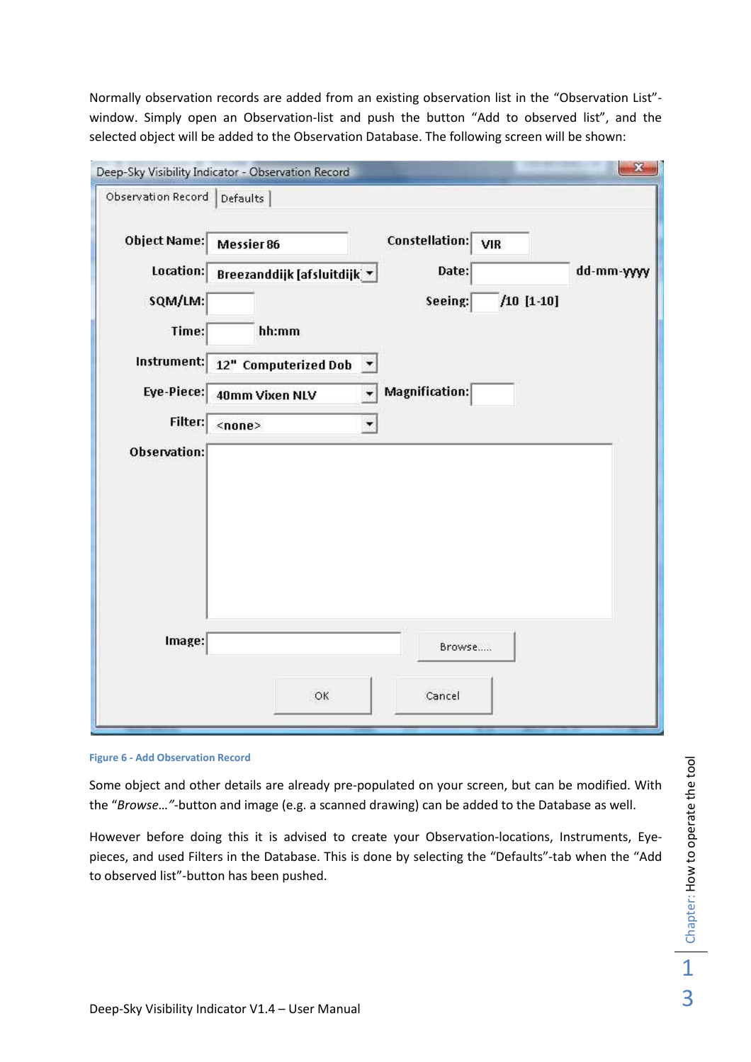Normally observation records are added from an existing observation list in the "Observation List" window. Simply open an Observation-list and push the button "Add to observed list", and the selected object will be added to the Observation Database. The following screen will be shown:

| Constellation: VIR<br>Object Name:<br>Messier 86<br>Location:<br>Date:<br>Breezanddijk [afsluitdijk] *<br>$/10$ [1-10]<br>SQM/LM:<br>Seeing:<br>Time:<br>hh:mm<br>Instrument:<br>12" Computerized Dob -<br>Magnification:<br>Eye-Piece:<br>40mm Vixen NLV<br>Filter:<br>$none$<br>▼<br>Observation: | dd-mm-yyyy |
|-----------------------------------------------------------------------------------------------------------------------------------------------------------------------------------------------------------------------------------------------------------------------------------------------------|------------|
|                                                                                                                                                                                                                                                                                                     |            |
|                                                                                                                                                                                                                                                                                                     |            |
|                                                                                                                                                                                                                                                                                                     |            |
|                                                                                                                                                                                                                                                                                                     |            |
|                                                                                                                                                                                                                                                                                                     |            |
|                                                                                                                                                                                                                                                                                                     |            |
|                                                                                                                                                                                                                                                                                                     |            |
|                                                                                                                                                                                                                                                                                                     |            |
|                                                                                                                                                                                                                                                                                                     |            |
|                                                                                                                                                                                                                                                                                                     |            |
|                                                                                                                                                                                                                                                                                                     |            |
|                                                                                                                                                                                                                                                                                                     |            |
|                                                                                                                                                                                                                                                                                                     |            |
|                                                                                                                                                                                                                                                                                                     |            |
| Image:<br>Browse                                                                                                                                                                                                                                                                                    |            |
|                                                                                                                                                                                                                                                                                                     |            |

**Figure 6 - Add Observation Record** 

Some object and other details are already pre-populated on your screen, but can be modified. With the "*Browse…"-*button and image (e.g. a scanned drawing) can be added to the Database as well.

However before doing this it is advised to create your Observation-locations, Instruments, Eyepieces, and used Filters in the Database. This is done by selecting the "Defaults"-tab when the "Add to observed list"-button has been pushed.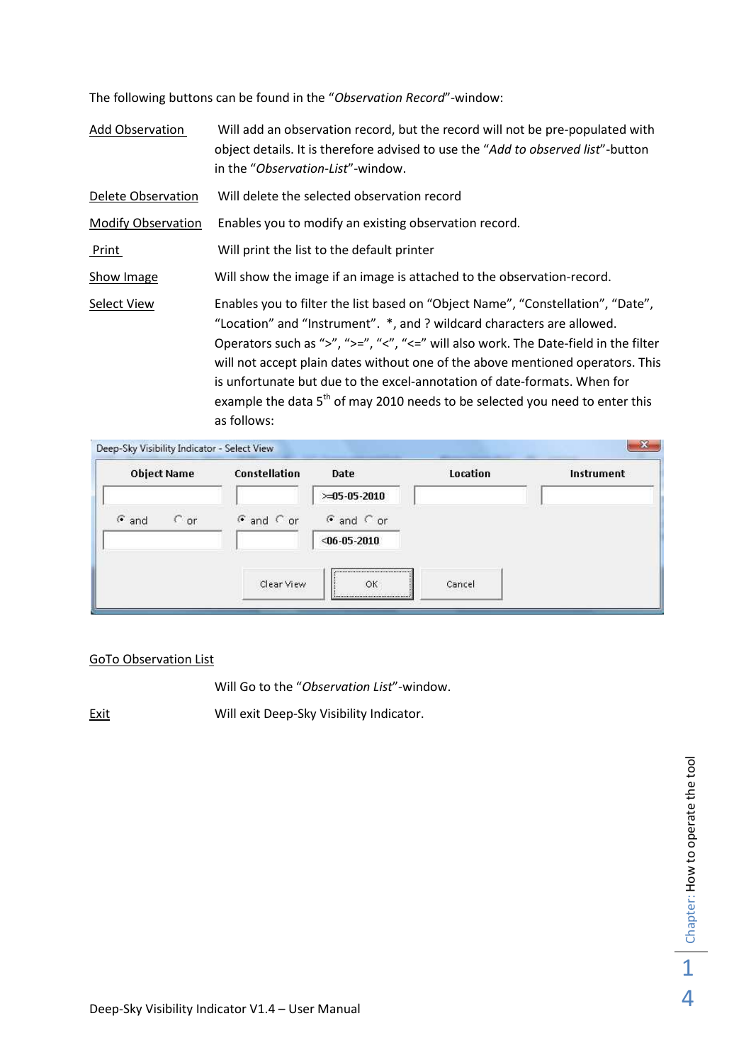The following buttons can be found in the "*Observation Record*"-window:

- Add Observation Will add an observation record, but the record will not be pre-populated with object details. It is therefore advised to use the "*Add to observed list*"-button in the "*Observation-List*"-window.
- Delete Observation Will delete the selected observation record

Modify Observation Enables you to modify an existing observation record.

- Print Will print the list to the default printer
- Show Image Will show the image if an image is attached to the observation-record.
- Select View Enables you to filter the list based on "Object Name", "Constellation", "Date", "Location" and "Instrument". \*, and ? wildcard characters are allowed. Operators such as ">", ">=", "<", "<=" will also work. The Date-field in the filter will not accept plain dates without one of the above mentioned operators. This is unfortunate but due to the excel-annotation of date-formats. When for example the data  $5<sup>th</sup>$  of may 2010 needs to be selected you need to enter this as follows:

| <b>Object Name</b>       | Constellation  | Date           | Location | Instrument |
|--------------------------|----------------|----------------|----------|------------|
|                          |                | $>105-05-2010$ |          |            |
| $\epsilon$ and<br>$C$ or | $G$ and $C$ or | $G$ and $C$ or |          |            |
|                          |                | $<$ 06-05-2010 |          |            |
|                          | Clear View     | OK             | Cancel   |            |

#### GoTo Observation List

Will Go to the "*Observation List*"-window.

Exit Will exit Deep-Sky Visibility Indicator.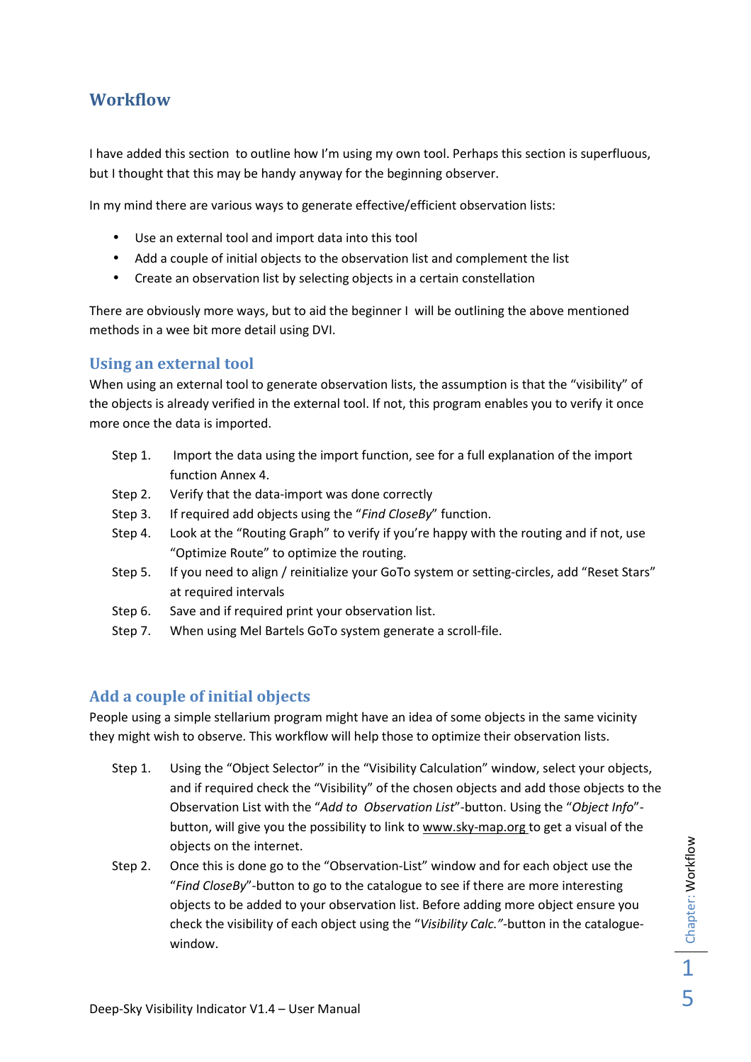## **Workflow**

I have added this section to outline how I'm using my own tool. Perhaps this section is superfluous, but I thought that this may be handy anyway for the beginning observer.

In my mind there are various ways to generate effective/efficient observation lists:

- Use an external tool and import data into this tool
- Add a couple of initial objects to the observation list and complement the list
- Create an observation list by selecting objects in a certain constellation

There are obviously more ways, but to aid the beginner I will be outlining the above mentioned methods in a wee bit more detail using DVI.

### **Using an external tool**

When using an external tool to generate observation lists, the assumption is that the "visibility" of the objects is already verified in the external tool. If not, this program enables you to verify it once more once the data is imported.

- Step 1. Import the data using the import function, see for a full explanation of the import function Annex 4.
- Step 2. Verify that the data-import was done correctly
- Step 3. If required add objects using the "*Find CloseBy*" function.
- Step 4. Look at the "Routing Graph" to verify if you're happy with the routing and if not, use "Optimize Route" to optimize the routing.
- Step 5. If you need to align / reinitialize your GoTo system or setting-circles, add "Reset Stars" at required intervals
- Step 6. Save and if required print your observation list.
- Step 7. When using Mel Bartels GoTo system generate a scroll-file.

### **Add a couple of initial objects**

People using a simple stellarium program might have an idea of some objects in the same vicinity they might wish to observe. This workflow will help those to optimize their observation lists.

- Step 1. Using the "Object Selector" in the "Visibility Calculation" window, select your objects, and if required check the "Visibility" of the chosen objects and add those objects to the Observation List with the "*Add to Observation List*"-button. Using the "*Object Info*" button, will give you the possibility to link to www.sky-map.org to get a visual of the objects on the internet.
- Step 2. Once this is done go to the "Observation-List" window and for each object use the "*Find CloseBy*"-button to go to the catalogue to see if there are more interesting objects to be added to your observation list. Before adding more object ensure you check the visibility of each object using the "*Visibility Calc."-*button in the cataloguewindow.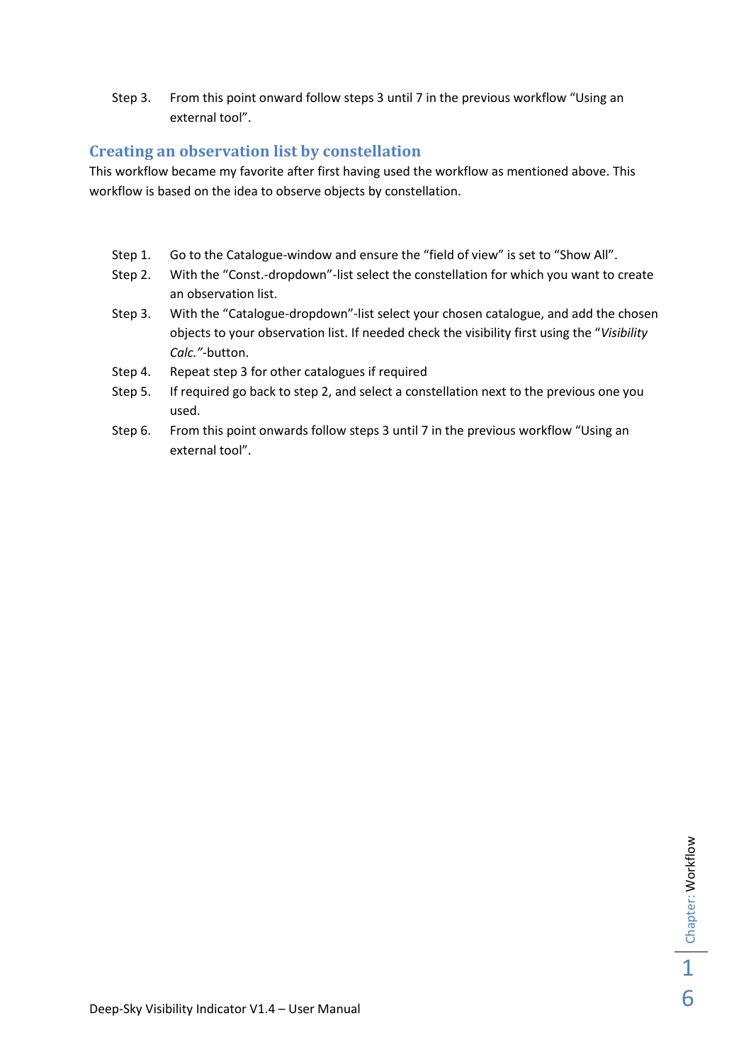Step 3. From this point onward follow steps 3 until 7 in the previous workflow "Using an external tool".

### **Creating an observation list by constellation**

This workflow became my favorite after first having used the workflow as mentioned above. This workflow is based on the idea to observe objects by constellation.

- Step 1. Go to the Catalogue-window and ensure the "field of view" is set to "Show All".
- Step 2. With the "Const.-dropdown"-list select the constellation for which you want to create an observation list.
- Step 3. With the "Catalogue-dropdown"-list select your chosen catalogue, and add the chosen objects to your observation list. If needed check the visibility first using the "*Visibility Calc."-*button.
- Step 4. Repeat step 3 for other catalogues if required
- Step 5. If required go back to step 2, and select a constellation next to the previous one you used.
- Step 6. From this point onwards follow steps 3 until 7 in the previous workflow "Using an external tool".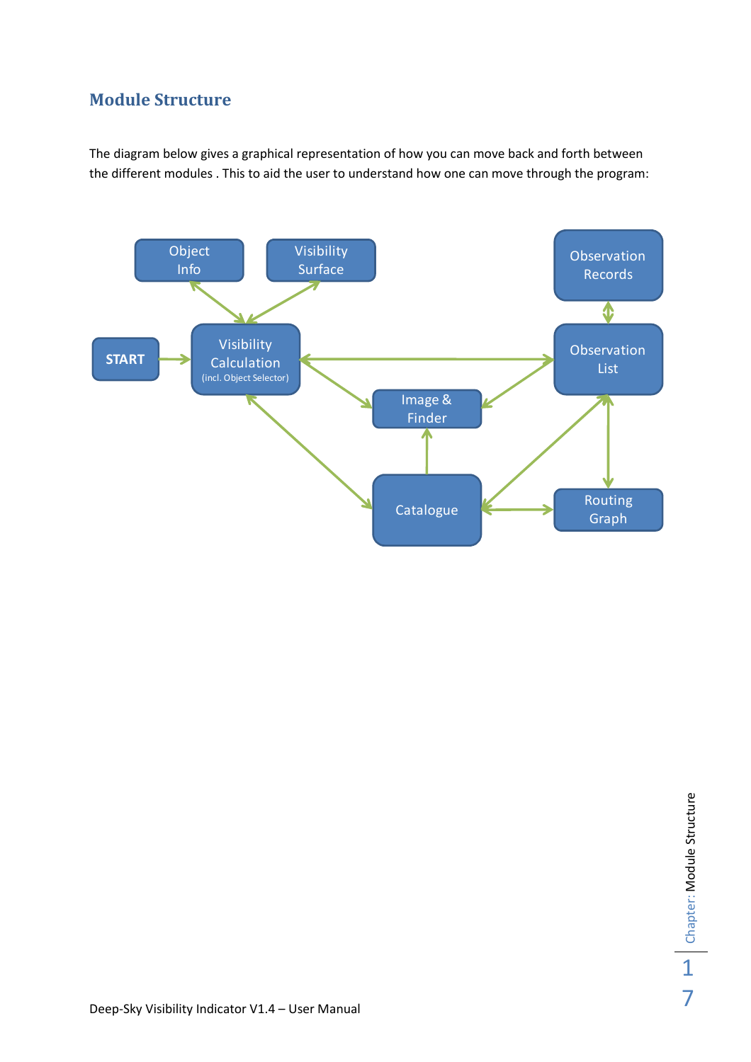# **Module Structure**

The diagram below gives a graphical representation of how you can move back and forth between the different modules . This to aid the user to understand how one can move through the program:

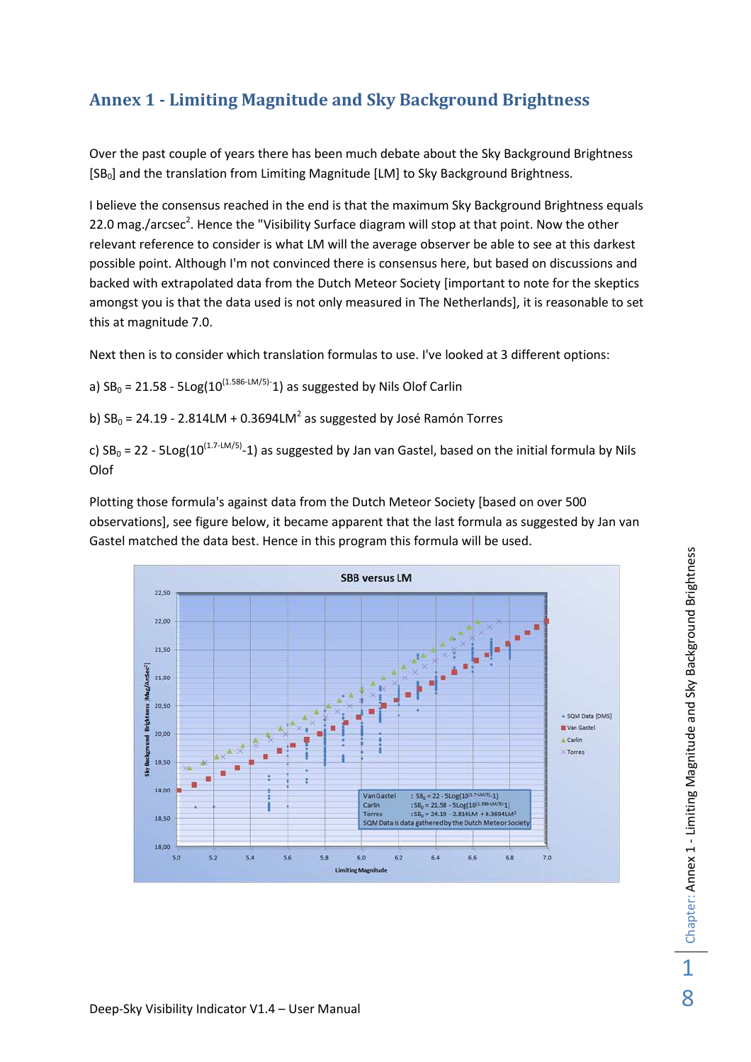# **Annex 1 - Limiting Magnitude and Sky Background Brightness**

Over the past couple of years there has been much debate about the Sky Background Brightness [SB<sub>0</sub>] and the translation from Limiting Magnitude [LM] to Sky Background Brightness.

I believe the consensus reached in the end is that the maximum Sky Background Brightness equals 22.0 mag./arcsec<sup>2</sup>. Hence the "Visibility Surface diagram will stop at that point. Now the other relevant reference to consider is what LM will the average observer be able to see at this darkest possible point. Although I'm not convinced there is consensus here, but based on discussions and backed with extrapolated data from the Dutch Meteor Society [important to note for the skeptics amongst you is that the data used is not only measured in The Netherlands], it is reasonable to set this at magnitude 7.0.

Next then is to consider which translation formulas to use. I've looked at 3 different options:

a)  $SB_0 = 21.58 - 5Log(10^{(1.586-LM/5)-1})$  as suggested by Nils Olof Carlin

b)  $SB_0 = 24.19 - 2.814LM + 0.3694LM^2$  as suggested by José Ramón Torres

c)  $SB_0 = 22 - 5Log(10^{(1.7-LM/5)}-1)$  as suggested by Jan van Gastel, based on the initial formula by Nils Olof

Plotting those formula's against data from the Dutch Meteor Society [based on over 500 observations], see figure below, it became apparent that the last formula as suggested by Jan van Gastel matched the data best. Hence in this program this formula will be used.

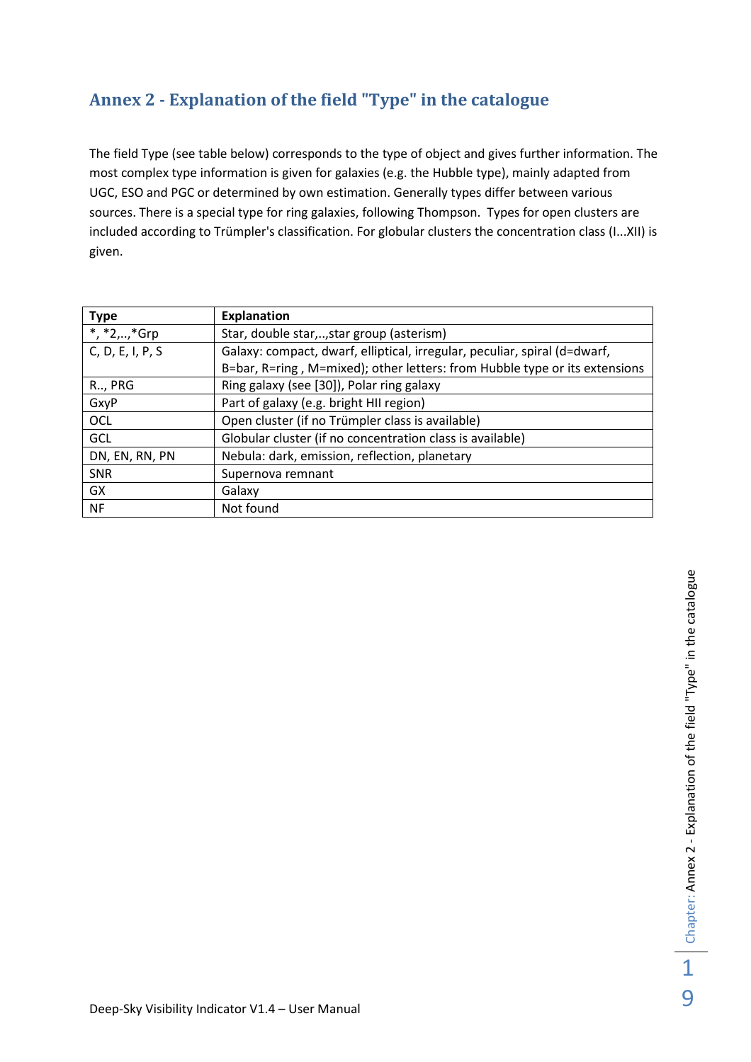# **Annex 2 - Explanation of the field "Type" in the catalogue**

The field Type (see table below) corresponds to the type of object and gives further information. The most complex type information is given for galaxies (e.g. the Hubble type), mainly adapted from UGC, ESO and PGC or determined by own estimation. Generally types differ between various sources. There is a special type for ring galaxies, following Thompson. Types for open clusters are included according to Trümpler's classification. For globular clusters the concentration class (I...XII) is given.

| <b>Type</b>      | <b>Explanation</b>                                                         |
|------------------|----------------------------------------------------------------------------|
| *, *2,, *Grp     | Star, double star,, star group (asterism)                                  |
| C, D, E, I, P, S | Galaxy: compact, dwarf, elliptical, irregular, peculiar, spiral (d=dwarf,  |
|                  | B=bar, R=ring, M=mixed); other letters: from Hubble type or its extensions |
| R., PRG          | Ring galaxy (see [30]), Polar ring galaxy                                  |
| GxyP             | Part of galaxy (e.g. bright HII region)                                    |
| OCL              | Open cluster (if no Trümpler class is available)                           |
| GCL              | Globular cluster (if no concentration class is available)                  |
| DN, EN, RN, PN   | Nebula: dark, emission, reflection, planetary                              |
| <b>SNR</b>       | Supernova remnant                                                          |
| GX               | Galaxy                                                                     |
| NF               | Not found                                                                  |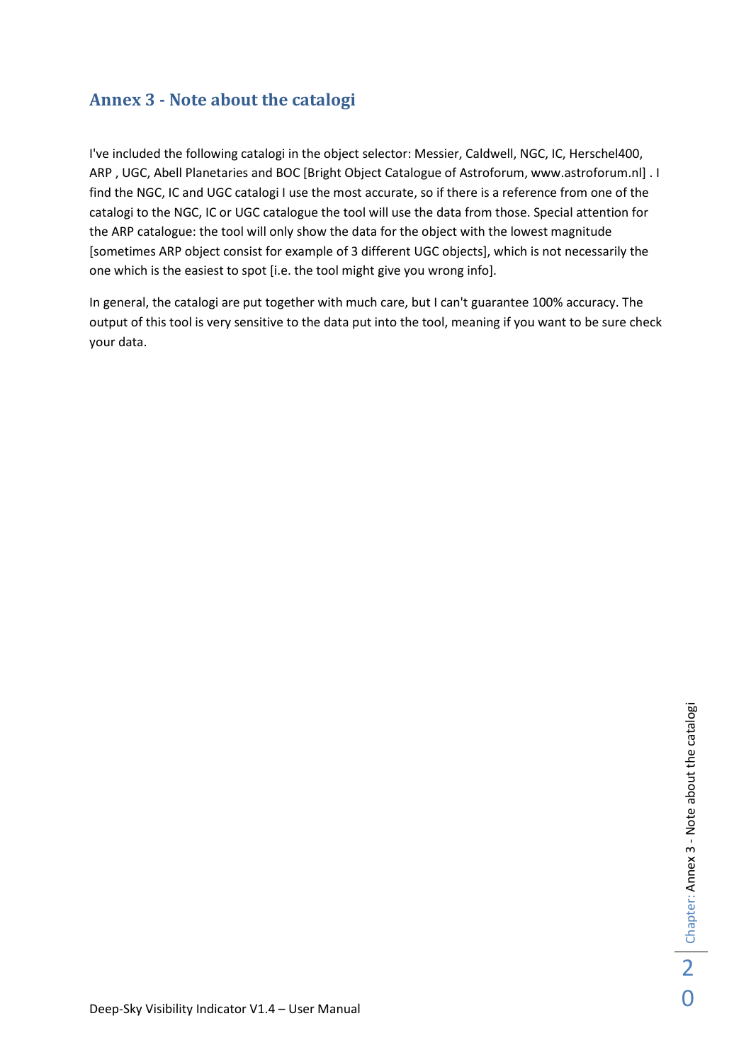# **Annex 3 - Note about the catalogi**

I've included the following catalogi in the object selector: Messier, Caldwell, NGC, IC, Herschel400, ARP , UGC, Abell Planetaries and BOC [Bright Object Catalogue of Astroforum, www.astroforum.nl] . I find the NGC, IC and UGC catalogi I use the most accurate, so if there is a reference from one of the catalogi to the NGC, IC or UGC catalogue the tool will use the data from those. Special attention for the ARP catalogue: the tool will only show the data for the object with the lowest magnitude [sometimes ARP object consist for example of 3 different UGC objects], which is not necessarily the one which is the easiest to spot [i.e. the tool might give you wrong info].

In general, the catalogi are put together with much care, but I can't guarantee 100% accuracy. The output of this tool is very sensitive to the data put into the tool, meaning if you want to be sure check your data.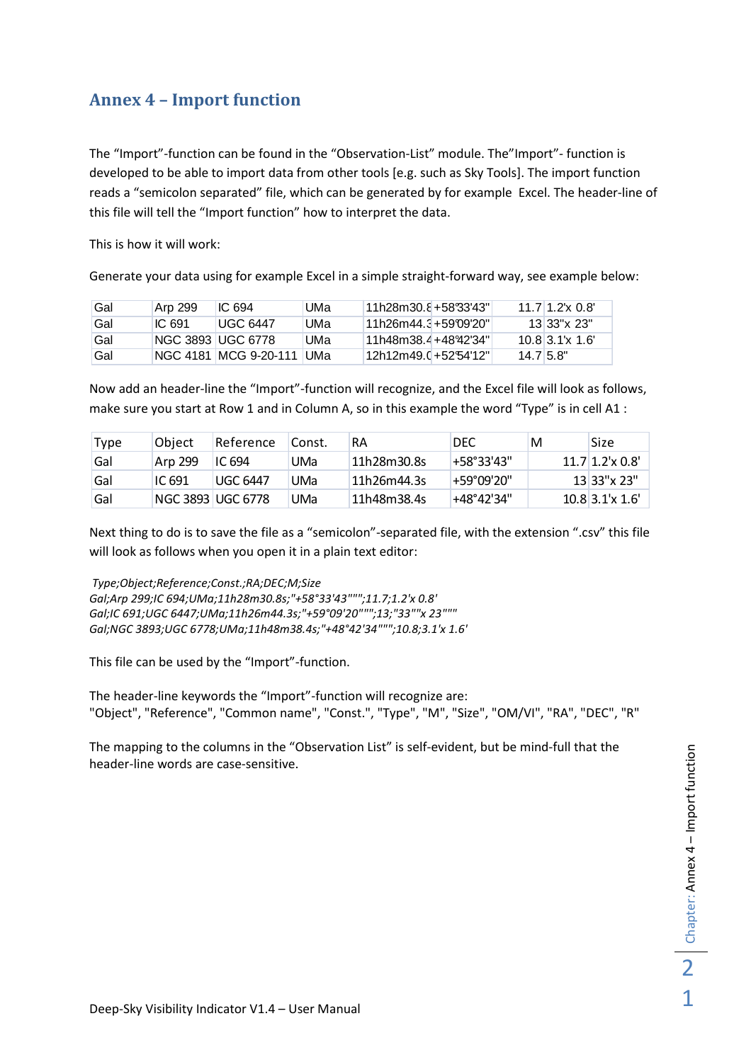# **Annex 4 – Import function**

The "Import"-function can be found in the "Observation-List" module. The"Import"- function is developed to be able to import data from other tools [e.g. such as Sky Tools]. The import function reads a "semicolon separated" file, which can be generated by for example Excel. The header-line of this file will tell the "Import function" how to interpret the data.

This is how it will work:

Generate your data using for example Excel in a simple straight-forward way, see example below:

| Gal | Arp 299 | IC <sub>694</sub>          | UMa | 11h28m30.8+5833'43"  | $11.7$ 1.2'x 0.8' |
|-----|---------|----------------------------|-----|----------------------|-------------------|
| Gal | IC.691  | UGC 6447                   | UMa | 11h26m44.3+5919920"  | $13133"$ x 23"    |
| Gal |         | NGC 3893 IUGC 6778         | UMa | 11h48m38.4+48°42′34″ | $10.8$ 3.1's 1.6' |
| Gal |         | NGC 4181 IMCG 9-20-111 UMa |     | 12h12m49.0+52°54'12" | 14.715.8"         |

Now add an header-line the "Import"-function will recognize, and the Excel file will look as follows, make sure you start at Row 1 and in Column A, so in this example the word "Type" is in cell A1 :

| Type | Obiect  | Reference         | Const. | RA          | <b>DEC</b>           | M | Size                |
|------|---------|-------------------|--------|-------------|----------------------|---|---------------------|
| Gal  | Arp 299 | IC 694            | UMa    | 11h28m30.8s | $+58°33'43"$         |   | $11.7$ 1.2'x 0.8'   |
| Gal  | IC 691  | <b>UGC 6447</b>   | UMa    | 11h26m44.3s | $+59^{\circ}09'20''$ |   | $13 33"$ x 23"      |
| Gal  |         | NGC 3893 UGC 6778 | UMa    | 11h48m38.4s | $+48°42'34"$         |   | $10.8$ 3.1'x $1.6'$ |

Next thing to do is to save the file as a "semicolon"-separated file, with the extension ".csv" this file will look as follows when you open it in a plain text editor:

 *Type;Object;Reference;Const.;RA;DEC;M;Size Gal;Arp 299;IC 694;UMa;11h28m30.8s;"+58°33'43""";11.7;1.2'x 0.8' Gal;IC 691;UGC 6447;UMa;11h26m44.3s;"+59°09'20""";13;"33""x 23""" Gal;NGC 3893;UGC 6778;UMa;11h48m38.4s;"+48°42'34""";10.8;3.1'x 1.6'*

This file can be used by the "Import"-function.

The header-line keywords the "Import"-function will recognize are: "Object", "Reference", "Common name", "Const.", "Type", "M", "Size", "OM/VI", "RA", "DEC", "R"

The mapping to the columns in the "Observation List" is self-evident, but be mind-full that the header-line words are case-sensitive.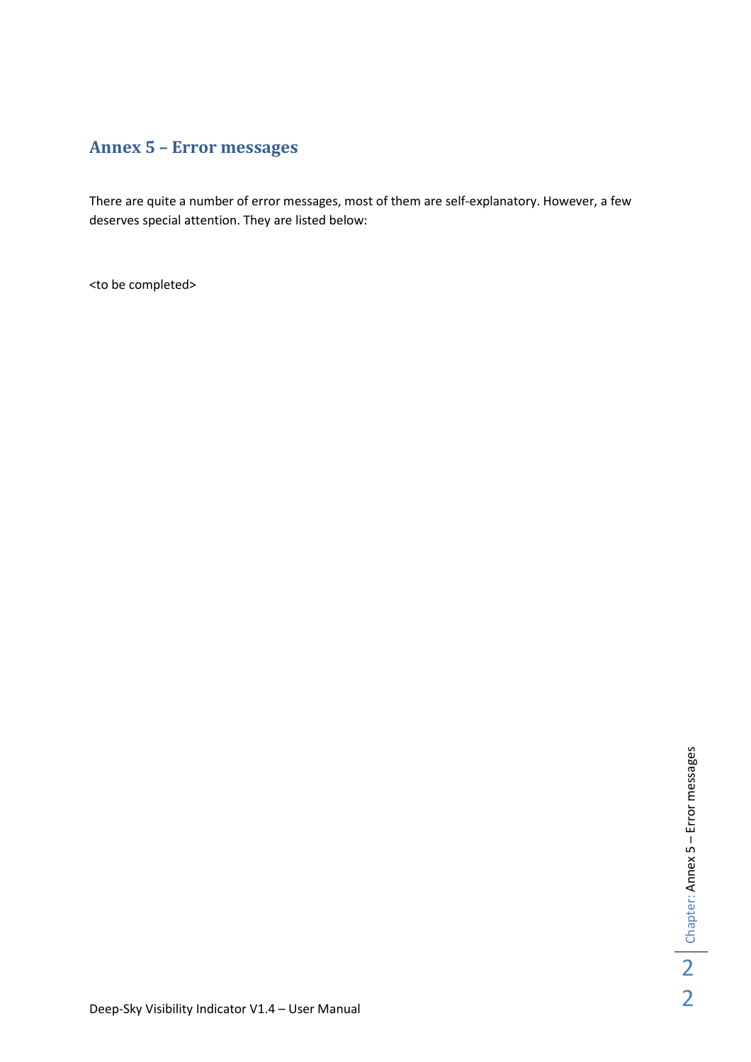# **Annex 5 – Error messages**

There are quite a number of error messages, most of them are self-explanatory. However, a few deserves special attention. They are listed below:

<to be completed>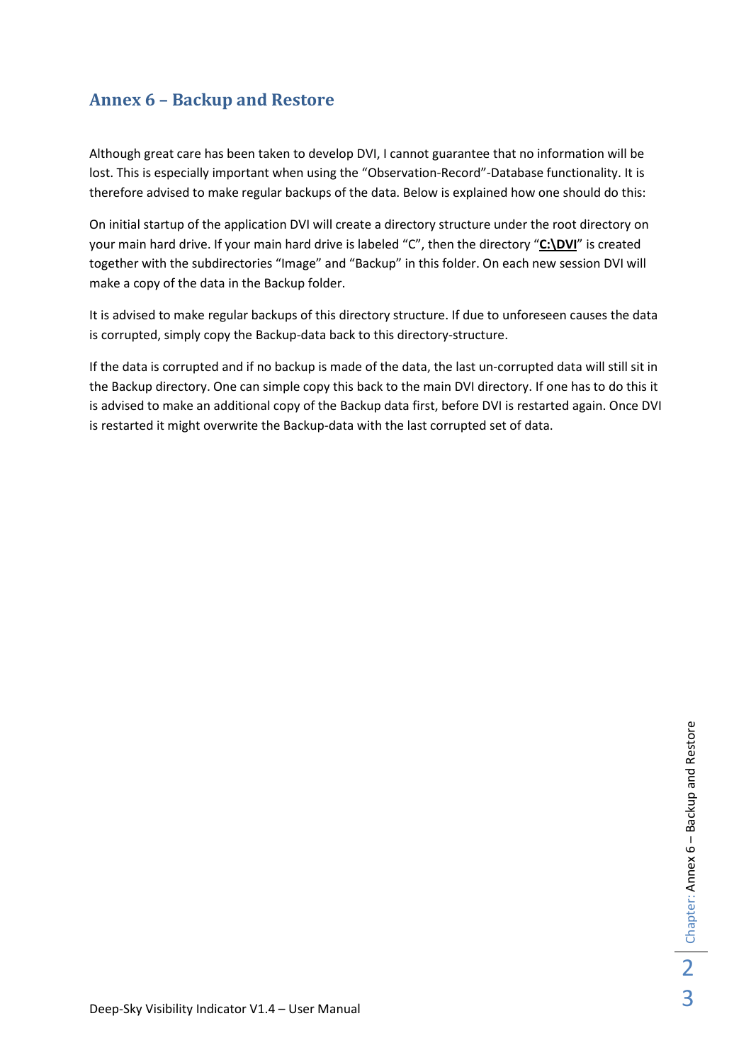# **Annex 6 – Backup and Restore**

Although great care has been taken to develop DVI, I cannot guarantee that no information will be lost. This is especially important when using the "Observation-Record"-Database functionality. It is therefore advised to make regular backups of the data. Below is explained how one should do this:

On initial startup of the application DVI will create a directory structure under the root directory on your main hard drive. If your main hard drive is labeled "C", then the directory "**C:\DVI**" is created together with the subdirectories "Image" and "Backup" in this folder. On each new session DVI will make a copy of the data in the Backup folder.

It is advised to make regular backups of this directory structure. If due to unforeseen causes the data is corrupted, simply copy the Backup-data back to this directory-structure.

If the data is corrupted and if no backup is made of the data, the last un-corrupted data will still sit in the Backup directory. One can simple copy this back to the main DVI directory. If one has to do this it is advised to make an additional copy of the Backup data first, before DVI is restarted again. Once DVI is restarted it might overwrite the Backup-data with the last corrupted set of data.